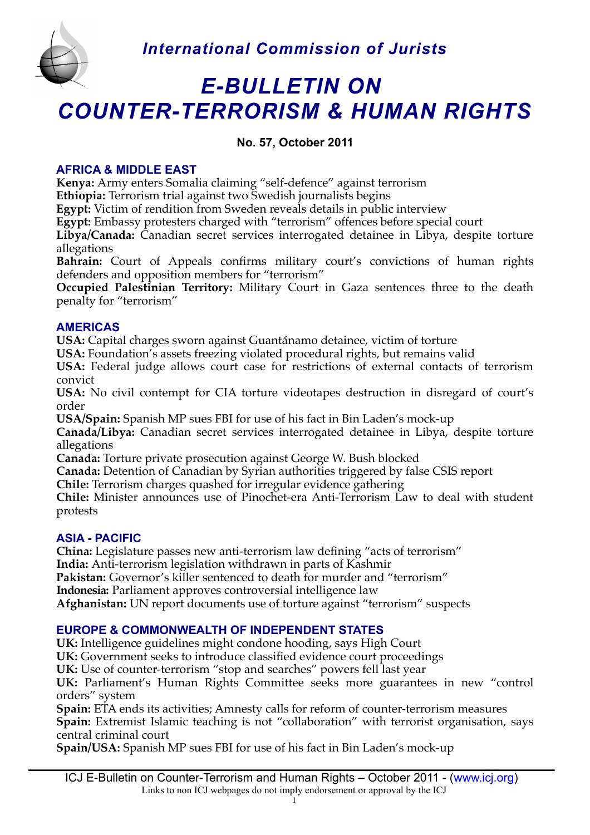

# *E-BULLETIN ON COUNTER-TERRORISM & HUMAN RIGHTS*

## **No. 57, October 2011**

## **AFRICA & MIDDLE EAST**

**Kenya:** Army enters Somalia claiming "self-defence" against terrorism

**Ethiopia:** Terrorism trial against two Swedish journalists begins

**Egypt:** Victim of rendition from Sweden reveals details in public interview

**Egypt:** Embassy protesters charged with "terrorism" offences before special court

**Libya/Canada:** Canadian secret services interrogated detainee in Libya, despite torture allegations

**Bahrain:** Court of Appeals confrms military court's convictions of human rights defenders and opposition members for "terrorism"

**Occupied Palestinian Territory:** Military Court in Gaza sentences three to the death penalty for "terrorism"

## **AMERICAS**

**USA:** Capital charges sworn against Guantánamo detainee, victim of torture

**USA:** Foundation's assets freezing violated procedural rights, but remains valid

**USA:** Federal judge allows court case for restrictions of external contacts of terrorism convict

**USA:** No civil contempt for CIA torture videotapes destruction in disregard of court's order

**USA/Spain:** Spanish MP sues FBI for use of his fact in Bin Laden's mock-up

**Canada/Libya:** Canadian secret services interrogated detainee in Libya, despite torture allegations

**Canada:** Torture private prosecution against George W. Bush blocked

**Canada:** Detention of Canadian by Syrian authorities triggered by false CSIS report

**Chile:** Terrorism charges quashed for irregular evidence gathering

**Chile:** Minister announces use of Pinochet-era Anti-Terrorism Law to deal with student protests

## **ASIA - PACIFIC**

**China:** Legislature passes new anti-terrorism law defining "acts of terrorism" **India:** Anti-terrorism legislation withdrawn in parts of Kashmir Pakistan: Governor's killer sentenced to death for murder and "terrorism" **Indonesia:** Parliament approves controversial intelligence law **Afghanistan:** UN report documents use of torture against "terrorism" suspects

## **EUROPE & COMMONWEALTH OF INDEPENDENT STATES**

**UK:** Intelligence guidelines might condone hooding, says High Court

UK: Government seeks to introduce classified evidence court proceedings

**UK:** Use of counter-terrorism "stop and searches" powers fell last year

**UK:** Parliament's Human Rights Committee seeks more guarantees in new "control orders" system

**Spain:** ETA ends its activities; Amnesty calls for reform of counter-terrorism measures **Spain:** Extremist Islamic teaching is not "collaboration" with terrorist organisation, says central criminal court

**Spain/USA:** Spanish MP sues FBI for use of his fact in Bin Laden's mock-up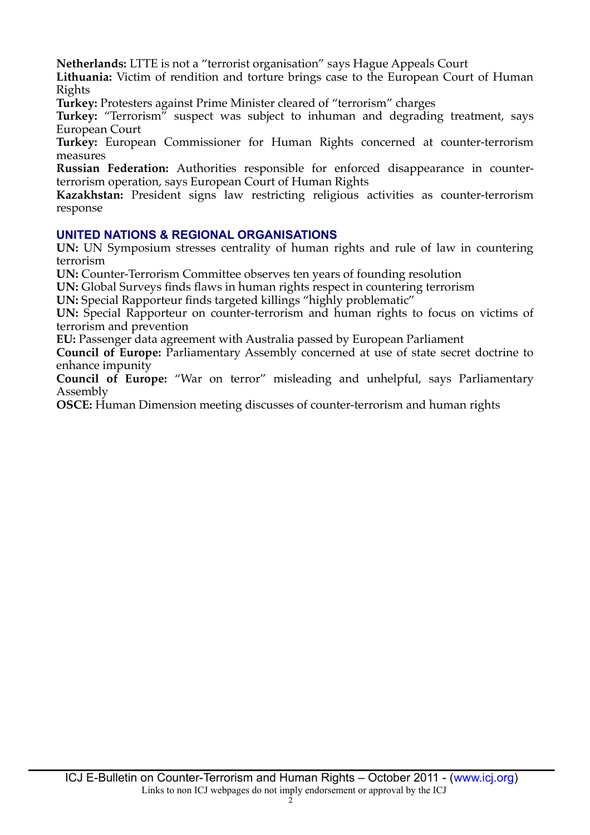**Netherlands:** LTTE is not a "terrorist organisation" says Hague Appeals Court

**Lithuania:** Victim of rendition and torture brings case to the European Court of Human Rights

**Turkey:** Protesters against Prime Minister cleared of "terrorism" charges

**Turkey:** "Terrorism" suspect was subject to inhuman and degrading treatment, says European Court

**Turkey:** European Commissioner for Human Rights concerned at counter-terrorism measures

**Russian Federation:** Authorities responsible for enforced disappearance in counterterrorism operation, says European Court of Human Rights

**Kazakhstan:** President signs law restricting religious activities as counter-terrorism response

## **UNITED NATIONS & REGIONAL ORGANISATIONS**

**UN:** UN Symposium stresses centrality of human rights and rule of law in countering terrorism

**UN:** Counter-Terrorism Committee observes ten years of founding resolution

**UN:** Global Surveys finds flaws in human rights respect in countering terrorism

**UN:** Special Rapporteur fnds targeted killings "highly problematic"

**UN:** Special Rapporteur on counter-terrorism and human rights to focus on victims of terrorism and prevention

**EU:** Passenger data agreement with Australia passed by European Parliament

**Council of Europe:** Parliamentary Assembly concerned at use of state secret doctrine to enhance impunity

**Council of Europe:** "War on terror" misleading and unhelpful, says Parliamentary Assembly

**OSCE:** Human Dimension meeting discusses of counter-terrorism and human rights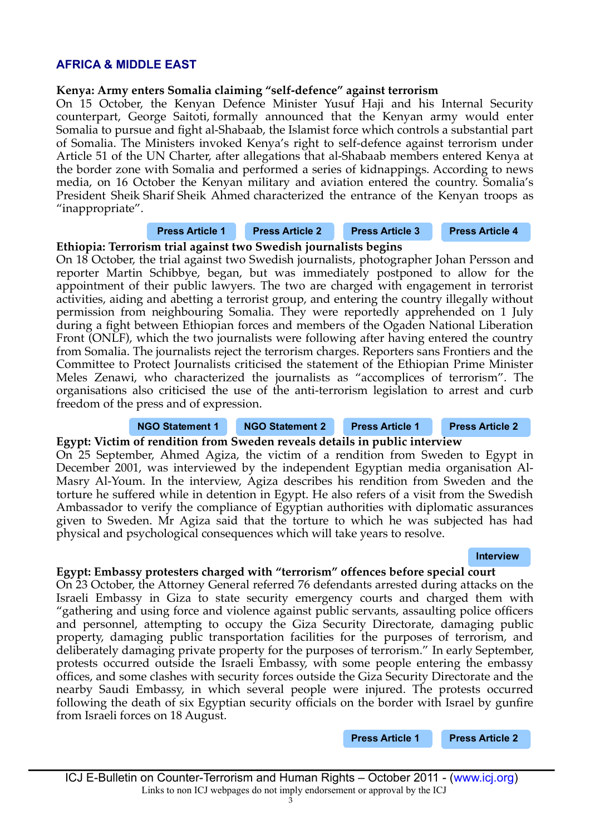## **AFRICA & MIDDLE EAST**

## **Kenya: Army enters Somalia claiming "self-defence" against terrorism**

On 15 October, the Kenyan Defence Minister Yusuf Haji and his Internal Security counterpart, George Saitoti, formally announced that the Kenyan army would enter Somalia to pursue and fght al-Shabaab, the Islamist force which controls a substantial part of Somalia. The Ministers invoked Kenya's right to self-defence against terrorism under Article 51 of the UN Charter, after allegations that al-Shabaab members entered Kenya at the border zone with Somalia and performed a series of kidnappings. According to news media, on 16 October the Kenyan military and aviation entered the country. Somalia's President Sheik Sharif Sheik Ahmed characterized the entrance of the Kenyan troops as "inappropriate".

#### **[Press Article 1](http://www.standardmedia.co.ke/InsidePage.php?id=2000044877&cid=4&) [Press Article 2](http://www.france24.com/en/20111016-kenya-troops-launch-assault-somalia-islamist-rebels-al-shabaab) [Press Article 3](http://www.nytimes.com/2011/10/25/world/africa/grenade-attack-on-kenyan-bar-raises-fear-of-widening-conflict.html) [Press Article 4](http://english.aljazeera.net/news/africa/2011/10/20111016115410991692.html)**

#### **Ethiopia: Terrorism trial against two Swedish journalists begins**

On 18 October, the trial against two Swedish journalists, photographer Johan Persson and reporter Martin Schibbye, began, but was immediately postponed to allow for the appointment of their public lawyers. The two are charged with engagement in terrorist activities, aiding and abetting a terrorist group, and entering the country illegally without permission from neighbouring Somalia. They were reportedly apprehended on 1 July during a fght between Ethiopian forces and members of the Ogaden National Liberation Front (ONLF), which the two journalists were following after having entered the country from Somalia. The journalists reject the terrorism charges. Reporters sans Frontiers and the Committee to Protect Journalists criticised the statement of the Ethiopian Prime Minister Meles Zenawi, who characterized the journalists as "accomplices of terrorism". The organisations also criticised the use of the anti-terrorism legislation to arrest and curb freedom of the press and of expression.

## **[NGO Statement 1](http://www.cpj.org/2011/10/ethiopia-steps-up-terrorism-allegations-against-jo.php) [NGO Statement 2](http://en.rsf.org/ethiopie-outcome-already-decided-in-trial-17-10-2011,41223.html) [Press Article 1](http://www.guardian.co.uk/world/2011/oct/19/swedish-journalists-terrorism-trial-ethiopia?newsfeed=true) [Press Article 2](http://www.thelocal.se/36816/20111018/)**

## **Egypt: Victim of rendition from Sweden reveals details in public interview**

On 25 September, Ahmed Agiza, the victim of a rendition from Sweden to Egypt in December 2001, was interviewed by the independent Egyptian media organisation Al-Masry Al-Youm. In the interview, Agiza describes his rendition from Sweden and the torture he suffered while in detention in Egypt. He also refers of a visit from the Swedish Ambassador to verify the compliance of Egyptian authorities with diplomatic assurances given to Sweden. Mr Agiza said that the torture to which he was subjected has had physical and psychological consequences which will take years to resolve.

#### **[Interview](http://www.almasryalyoum.com/en/node/499197)**

## **Egypt: Embassy protesters charged with "terrorism" offences before special court**

On 23 October, the Attorney General referred 76 defendants arrested during attacks on the Israeli Embassy in Giza to state security emergency courts and charged them with "gathering and using force and violence against public servants, assaulting police officers and personnel, attempting to occupy the Giza Security Directorate, damaging public property, damaging public transportation facilities for the purposes of terrorism, and deliberately damaging private property for the purposes of terrorism." In early September, protests occurred outside the Israeli Embassy, with some people entering the embassy offices, and some clashes with security forces outside the Giza Security Directorate and the nearby Saudi Embassy, in which several people were injured. The protests occurred following the death of six Egyptian security officials on the border with Israel by gunfire from Israeli forces on 18 August.

**[Press Article 1](http://www.almasryalyoum.com/en/node/507818) [Press Article 2](http://www.almasryalyoum.com/en/node/506393)**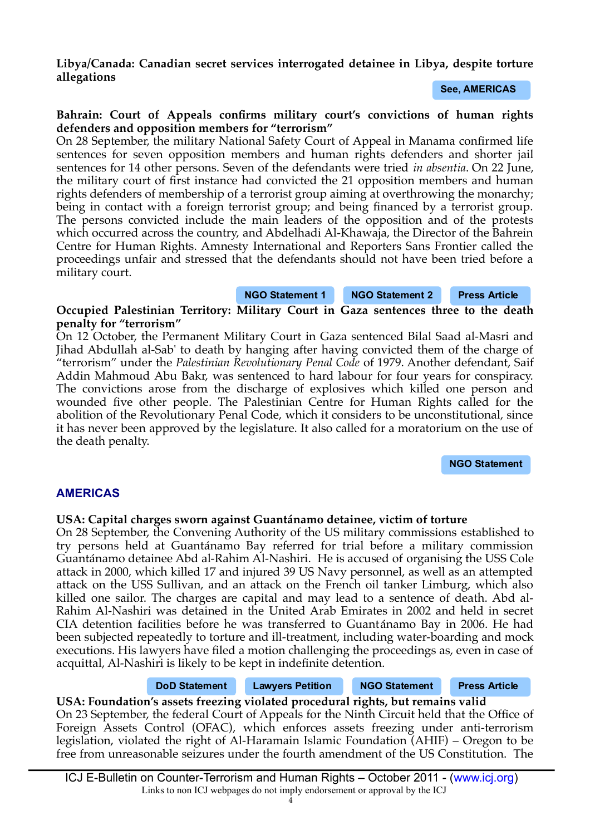**Libya/Canada: Canadian secret services interrogated detainee in Libya, despite torture allegations**

#### **[See, AMERICAS](#page-4-0)**

## **Bahrain: Court of Appeals confrms military court's convictions of human rights defenders and opposition members for "terrorism"**

On 28 September, the military National Safety Court of Appeal in Manama confrmed life sentences for seven opposition members and human rights defenders and shorter jail sentences for 14 other persons. Seven of the defendants were tried *in absentia*. On 22 June, the military court of frst instance had convicted the 21 opposition members and human rights defenders of membership of a terrorist group aiming at overthrowing the monarchy; being in contact with a foreign terrorist group; and being fnanced by a terrorist group. The persons convicted include the main leaders of the opposition and of the protests which occurred across the country, and Abdelhadi Al-Khawaja, the Director of the Bahrein Centre for Human Rights. Amnesty International and Reporters Sans Frontier called the proceedings unfair and stressed that the defendants should not have been tried before a military court.

**[NGO Statement 1](http://en.rsf.org/bahrain-jail-terms-upheld-for-shiite-29-09-2011,41074.html) [NGO Statement 2](http://www.amnesty.org/en/news-and-updates/bahrain-protester-convictions-upheld-sham-military-trial-2011-09-28) [Press Article](http://www.cphpost.dk/news/89-international/52234-life-sentence-upheld-for-danish-human-rights-activist-in-bahrain.html)**

## **Occupied Palestinian Territory: Military Court in Gaza sentences three to the death penalty for "terrorism"**

On 12 October, the Permanent Military Court in Gaza sentenced Bilal Saad al-Masri and Jihad Abdullah al-Sab' to death by hanging after having convicted them of the charge of "terrorism" under the *Palestinian Revolutionary Penal Code* of 1979. Another defendant, Saif Addin Mahmoud Abu Bakr, was sentenced to hard labour for four years for conspiracy. The convictions arose from the discharge of explosives which killed one person and wounded fve other people. The Palestinian Centre for Human Rights called for the abolition of the Revolutionary Penal Code, which it considers to be unconstitutional, since it has never been approved by the legislature. It also called for a moratorium on the use of the death penalty.

**[NGO Statement](http://www.pchrgaza.org/portal/en/index.php?option=com_content&view=article&id=7784:military-court-in-gaza-issues-three-new-death-sentences-&catid=36:pchrpressreleases&Itemid=194)**

## **AMERICAS**

## **USA: Capital charges sworn against Guantánamo detainee, victim of torture**

On 28 September, the Convening Authority of the US military commissions established to try persons held at Guantánamo Bay referred for trial before a military commission Guantánamo detainee Abd al-Rahim Al-Nashiri. He is accused of organising the USS Cole attack in 2000, which killed 17 and injured 39 US Navy personnel, as well as an attempted attack on the USS Sullivan, and an attack on the French oil tanker Limburg, which also killed one sailor. The charges are capital and may lead to a sentence of death. Abd al-Rahim Al-Nashiri was detained in the United Arab Emirates in 2002 and held in secret CIA detention facilities before he was transferred to Guantánamo Bay in 2006. He had been subjected repeatedly to torture and ill-treatment, including water-boarding and mock executions. His lawyers have fled a motion challenging the proceedings as, even in case of acquittal, Al-Nashiri is likely to be kept in indefnite detention.

## **[DoD Statement](http://www.defense.gov/releases/release.aspx?releaseid=14821) [Lawyers Petition](http://media.miamiherald.com/smedia/2011/10/24/15/46/zc2af.So.56.pdf) [NGO Statement](http://www.soros.org/initiatives/justice/news/nashiri-capital-20110928) [Press Article](http://www.washingtonpost.com/world/national-security/death-penalty-case-set-for-uss-cole-defendant/2011/09/28/gIQA5DSz4K_story.html?wprss=rss_politics)**

**USA: Foundation's assets freezing violated procedural rights, but remains valid**

On 23 September, the federal Court of Appeals for the Ninth Circuit held that the Office of Foreign Assets Control (OFAC), which enforces assets freezing under anti-terrorism legislation, violated the right of Al-Haramain Islamic Foundation (AHIF) – Oregon to be free from unreasonable seizures under the fourth amendment of the US Constitution. The

ICJ E-Bulletin on Counter-Terrorism and Human Rights – October 2011 - [\(www.icj.org\)](http://www.icj.org/) Links to non ICJ webpages do not imply endorsement or approval by the ICJ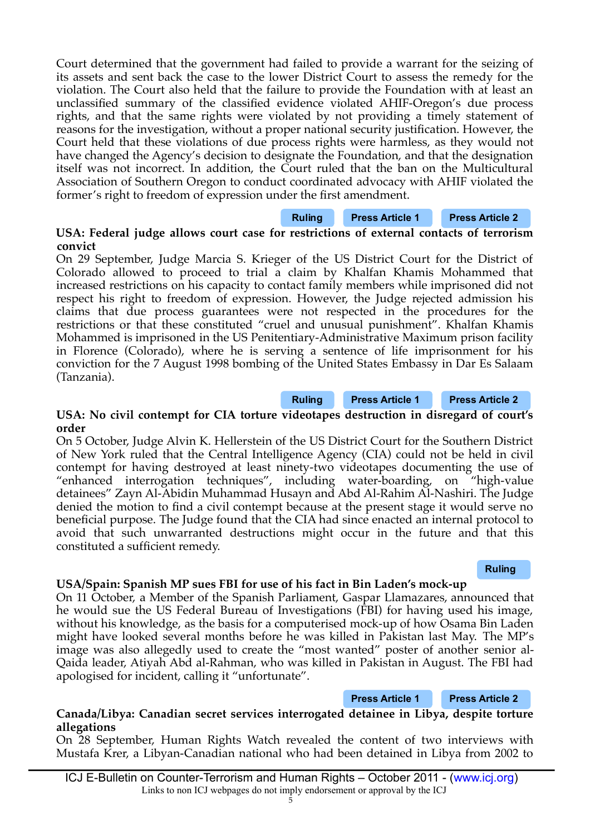Court determined that the government had failed to provide a warrant for the seizing of its assets and sent back the case to the lower District Court to assess the remedy for the violation. The Court also held that the failure to provide the Foundation with at least an unclassifed summary of the classifed evidence violated AHIF-Oregon's due process rights, and that the same rights were violated by not providing a timely statement of reasons for the investigation, without a proper national security justifcation. However, the Court held that these violations of due process rights were harmless, as they would not have changed the Agency's decision to designate the Foundation, and that the designation itself was not incorrect. In addition, the Court ruled that the ban on the Multicultural Association of Southern Oregon to conduct coordinated advocacy with AHIF violated the former's right to freedom of expression under the first amendment.

## **USA: Federal judge allows court case for restrictions of external contacts of terrorism convict**

On 29 September, Judge Marcia S. Krieger of the US District Court for the District of Colorado allowed to proceed to trial a claim by Khalfan Khamis Mohammed that increased restrictions on his capacity to contact family members while imprisoned did not respect his right to freedom of expression. However, the Judge rejected admission his claims that due process guarantees were not respected in the procedures for the restrictions or that these constituted "cruel and unusual punishment". Khalfan Khamis Mohammed is imprisoned in the US Penitentiary-Administrative Maximum prison facility in Florence (Colorado), where he is serving a sentence of life imprisonment for his conviction for the 7 August 1998 bombing of the United States Embassy in Dar Es Salaam (Tanzania).

## **[Ruling](http://blogs.denverpost.com/crime/files/2011/10/KKMohammedDoc234.pdf) [Press Article 1](http://www.nytimes.com/2011/10/04/nyregion/trial-allowed-on-terrorists-suit-over-prison-rules.html) [Press Article 2](http://old.news.yahoo.com/s/ap/20111005/ap_on_re_us/us_terrorist_restrictions)**

**[Ruling](http://www.ca9.uscourts.gov/datastore/opinions/2011/09/23/10-35032.pdf) [Press Article 1](http://www.nytimes.com/2011/09/24/us/officials-improperly-seized-assets-of-islamic-charity-court-finds.html?_r=1&partner=rss&emc=rss) [Press Article 2](http://www.politico.com/news/stories/0911/64294.html)**

## **USA: No civil contempt for CIA torture videotapes destruction in disregard of court's order**

On 5 October, Judge Alvin K. Hellerstein of the US District Court for the Southern District of New York ruled that the Central Intelligence Agency (CIA) could not be held in civil contempt for having destroyed at least ninety-two videotapes documenting the use of "enhanced interrogation techniques", including water-boarding, on "high-value detainees" Zayn Al-Abidin Muhammad Husayn and Abd Al-Rahim Al-Nashiri. The Judge denied the motion to fnd a civil contempt because at the present stage it would serve no benefcial purpose. The Judge found that the CIA had since enacted an internal protocol to avoid that such unwarranted destructions might occur in the future and that this constituted a sufficient remedy.

## <span id="page-4-1"></span>**USA/Spain: Spanish MP sues FBI for use of his fact in Bin Laden's mock-up**

On 11 October, a Member of the Spanish Parliament, Gaspar Llamazares, announced that he would sue the US Federal Bureau of Investigations (FBI) for having used his image, without his knowledge, as the basis for a computerised mock-up of how Osama Bin Laden might have looked several months before he was killed in Pakistan last May. The MP's image was also allegedly used to create the "most wanted" poster of another senior al-Qaida leader, Atiyah Abd al-Rahman, who was killed in Pakistan in August. The FBI had apologised for incident, calling it "unfortunate".

## <span id="page-4-0"></span>**Canada/Libya: Canadian secret services interrogated detainee in Libya, despite torture allegations**

On 28 September, Human Rights Watch revealed the content of two interviews with Mustafa Krer, a Libyan-Canadian national who had been detained in Libya from 2002 to

## **[Press Article 1](http://www.guardian.co.uk/world/2011/oct/11/spanish-mp-fbi-al-qaida) [Press Article 2](http://www.politico.com/news/stories/1011/65625.html)**

**[Ruling](http://www.wired.com/images_blogs/threatlevel/2011/10/cianocontempt.pdf)**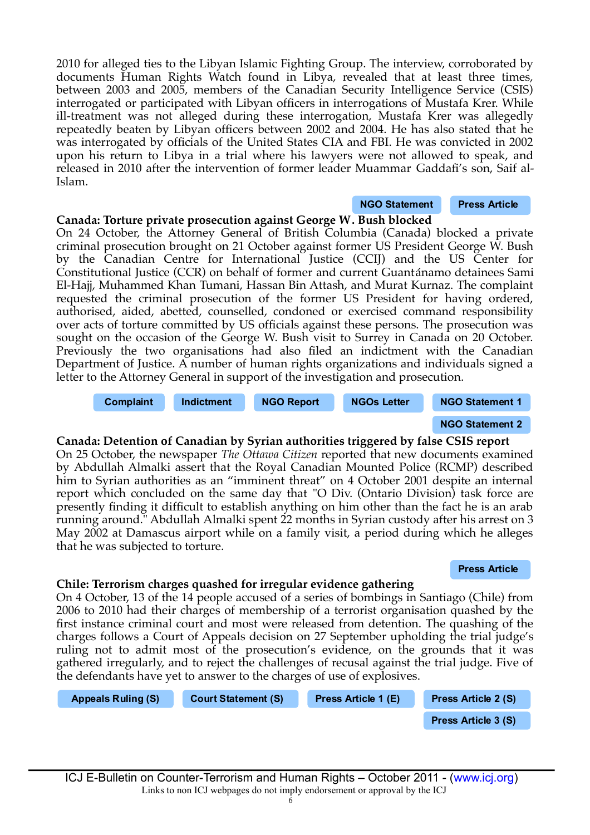2010 for alleged ties to the Libyan Islamic Fighting Group. The interview, corroborated by documents Human Rights Watch found in Libya, revealed that at least three times, between 2003 and 2005, members of the Canadian Security Intelligence Service (CSIS) interrogated or participated with Libyan officers in interrogations of Mustafa Krer. While ill-treatment was not alleged during these interrogation, Mustafa Krer was allegedly repeatedly beaten by Libyan officers between 2002 and 2004. He has also stated that he was interrogated by officials of the United States CIA and FBI. He was convicted in 2002 upon his return to Libya in a trial where his lawyers were not allowed to speak, and released in 2010 after the intervention of former leader Muammar Gaddaf's son, Saif al-Islam.

**[NGO Statement](http://www.hrw.org/news/2011/09/28/canada-intelligence-service-accused-libya-interrogations) [Press Article](http://www.thestar.com/news/world/article/1061536--libyan-canadian-says-csis-questioned-him-in-libya)**

## **Canada: Torture private prosecution against George W. Bush blocked**

On 24 October, the Attorney General of British Columbia (Canada) blocked a private criminal prosecution brought on 21 October against former US President George W. Bush by the Canadian Centre for International Justice (CCIJ) and the US Center for Constitutional Justice (CCR) on behalf of former and current Guantánamo detainees Sami El-Hajj, Muhammed Khan Tumani, Hassan Bin Attash, and Murat Kurnaz. The complaint requested the criminal prosecution of the former US President for having ordered, authorised, aided, abetted, counselled, condoned or exercised command responsibility over acts of torture committed by US officials against these persons. The prosecution was sought on the occasion of the George W. Bush visit to Surrey in Canada on 20 October. Previously the two organisations had also fled an indictment with the Canadian Department of Justice. A number of human rights organizations and individuals signed a letter to the Attorney General in support of the investigation and prosecution.



#### **[NGO Statement 2](http://www.hrw.org/news/2011/10/12/canada-don-t-let-bush-get-away-torture)**

## **Canada: Detention of Canadian by Syrian authorities triggered by false CSIS report**

On 25 October, the newspaper *The Ottawa Citizen* reported that new documents examined by Abdullah Almalki assert that the Royal Canadian Mounted Police (RCMP) described him to Syrian authorities as an "imminent threat" on 4 October 2001 despite an internal report which concluded on the same day that "O Div. (Ontario Division) task force are presently fnding it diffcult to establish anything on him other than the fact he is an arab running around." Abdullah Almalki spent 22 months in Syrian custody after his arrest on 3 May 2002 at Damascus airport while on a family visit, a period during which he alleges that he was subjected to torture.

**[Press Article](http://www.ottawacitizen.com/news/Documents+tortured+Canadian+Almalki+posed+terrorist+threat/5605604/story.html)**

## **Chile: Terrorism charges quashed for irregular evidence gathering**

On 4 October, 13 of the 14 people accused of a series of bombings in Santiago (Chile) from 2006 to 2010 had their charges of membership of a terrorist organisation quashed by the frst instance criminal court and most were released from detention. The quashing of the charges follows a Court of Appeals decision on 27 September upholding the trial judge's ruling not to admit most of the prosecution's evidence, on the grounds that it was gathered irregularly, and to reject the challenges of recusal against the trial judge. Five of the defendants have yet to answer to the charges of use of explosives.

| <b>Appeals Ruling (S)</b> | <b>Court Statement (S)</b> | Press Article 1 (E) | <b>Press Article 2 (S)</b> |
|---------------------------|----------------------------|---------------------|----------------------------|
|                           |                            |                     | <b>Press Article 3 (S)</b> |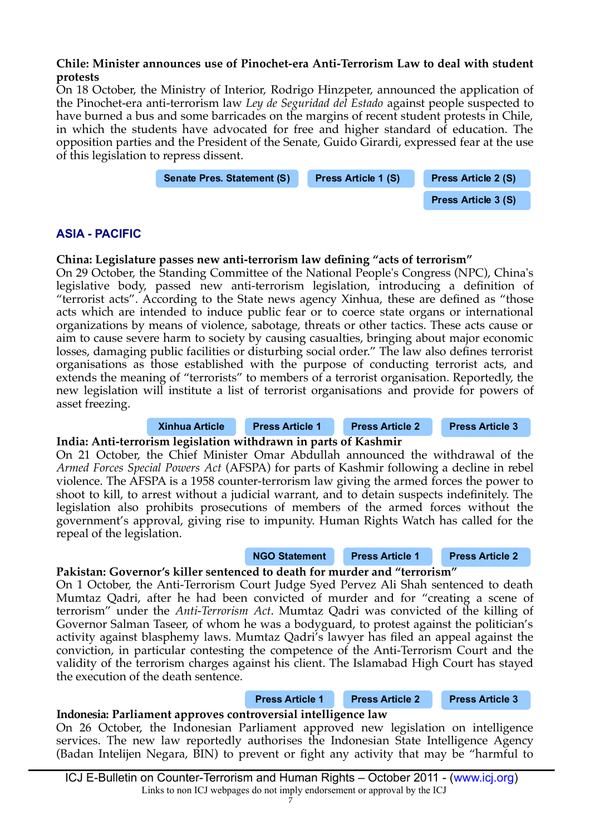## **Chile: Minister announces use of Pinochet-era Anti-Terrorism Law to deal with student protests**

On 18 October, the Ministry of Interior, Rodrigo Hinzpeter, announced the application of the Pinochet-era anti-terrorism law *Ley de Seguridad del Estado* against people suspected to have burned a bus and some barricades on the margins of recent student protests in Chile, in which the students have advocated for free and higher standard of education. The opposition parties and the President of the Senate, Guido Girardi, expressed fear at the use of this legislation to repress dissent.



## **ASIA - PACIFIC**

## **China: Legislature passes new anti-terrorism law defning "acts of terrorism"**

On 29 October, the Standing Committee of the National People's Congress (NPC), China's legislative body, passed new anti-terrorism legislation, introducing a defnition of "terrorist acts". According to the State news agency Xinhua, these are defned as "those acts which are intended to induce public fear or to coerce state organs or international organizations by means of violence, sabotage, threats or other tactics. These acts cause or aim to cause severe harm to society by causing casualties, bringing about major economic losses, damaging public facilities or disturbing social order." The law also defnes terrorist organisations as those established with the purpose of conducting terrorist acts, and extends the meaning of "terrorists" to members of a terrorist organisation. Reportedly, the new legislation will institute a list of terrorist organisations and provide for powers of asset freezing.

## **India: Anti-terrorism legislation withdrawn in parts of Kashmir [Xinhua Article](http://news.xinhuanet.com/english2010/china/2011-10/24/c_131210079.htm) [Press Article 1](http://www.washingtonpost.com/world/asia-pacific/china-clarifies-terrorism-definition-in-hopes-of-winning-international-backing/2011/10/29/gIQARHDNRM_story.html) [Press Article 2](http://www.chinadaily.com.cn/sunday/2011-10/30/content_14002347.htm) [Press Article 3](http://www.thehindu.com/news/international/article2571362.ece)**

On 21 October, the Chief Minister Omar Abdullah announced the withdrawal of the *Armed Forces Special Powers Act* (AFSPA) for parts of Kashmir following a decline in rebel violence. The AFSPA is a 1958 counter-terrorism law giving the armed forces the power to shoot to kill, to arrest without a judicial warrant, and to detain suspects indefnitely. The legislation also prohibits prosecutions of members of the armed forces without the government's approval, giving rise to impunity. Human Rights Watch has called for the repeal of the legislation.

## **[NGO Statement](http://www.hrw.org/news/2011/10/19/india-repeal-armed-forces-special-powers-act) [Press Article 1](http://old.news.yahoo.com/s/nm/20111021/india_nm/india600425) [Press Article 2](http://arabnews.com/world/article521672.ece)**

## **Pakistan: Governor's killer sentenced to death for murder and "terrorism"**

On 1 October, the Anti-Terrorism Court Judge Syed Pervez Ali Shah sentenced to death Mumtaz Qadri, after he had been convicted of murder and for "creating a scene of terrorism" under the *Anti-Terrorism Act*. Mumtaz Qadri was convicted of the killing of Governor Salman Taseer, of whom he was a bodyguard, to protest against the politician's activity against blasphemy laws. Mumtaz Qadri's lawyer has fled an appeal against the conviction, in particular contesting the competence of the Anti-Terrorism Court and the validity of the terrorism charges against his client. The Islamabad High Court has stayed the execution of the death sentence.

## **[Press Article 1](http://nation.com.pk/pakistan-news-newspaper-daily-english-online/Politics/02-Oct-2011/Qadri-death-sentence-sparks-angry-protests?utm_source=feedburner&utm_medium=feed&utm_campaign=Feed:+pakistan-news-newspaper-daily-english-online/24hours-news+(The+Nation+:+Last+Twenty+Four+Hours+News)) [Press Article 2](http://nation.com.pk/pakistan-news-newspaper-daily-english-online/Politics/07-Oct-2011/Mumtaz-Qadris-lawyer-files-appeal-in-IHC?utm_source=feedburner&utm_medium=feed&utm_campaign=Feed:+pakistan-news-newspaper-daily-english-online/24hours-news+(The+Nation+:+Last+Twenty+Four+Hours+News)) [Press Article 3](http://nation.com.pk/pakistan-news-newspaper-daily-english-online/Islamabad/11-Oct-2011/IHC-stays-Qadris-death-sentence?utm_source=feedburner&utm_medium=feed&utm_campaign=Feed:+pakistan-news-newspaper-daily-english-online/24hours-news+(The+Nation+:+Last+Twenty+Four+Hours+News))**

## **Indonesia: Parliament approves controversial intelligence law**

On 26 October, the Indonesian Parliament approved new legislation on intelligence services. The new law reportedly authorises the Indonesian State Intelligence Agency (Badan Intelijen Negara, BIN) to prevent or fght any activity that may be "harmful to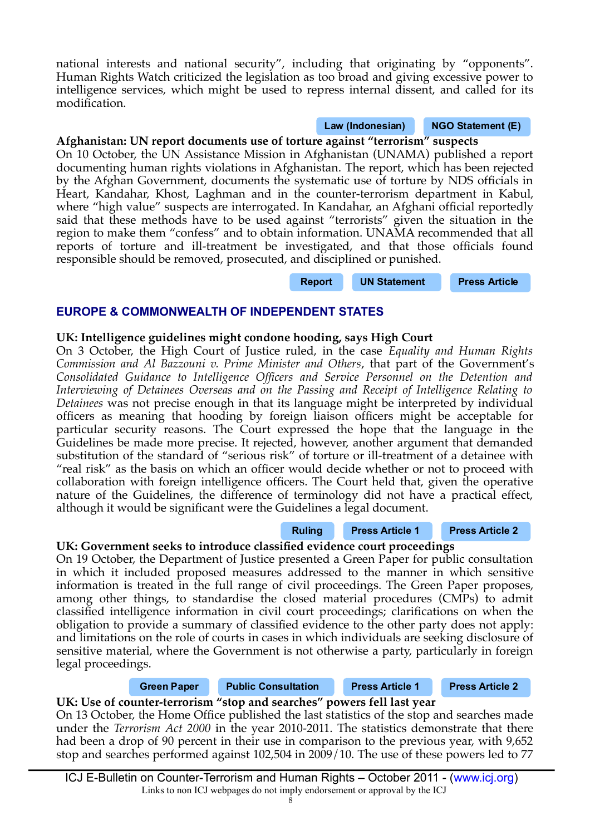national interests and national security", including that originating by "opponents". Human Rights Watch criticized the legislation as too broad and giving excessive power to intelligence services, which might be used to repress internal dissent, and called for its modification.

#### **[Law \(Indonesian\)](http://www.dpr.go.id/id/ruu/103/RUU-Tentang-Intelejen-Negara) [NGO Statement \(E\)](http://www.hrw.org/news/2011/10/26/indonesia-repeal-new-intelligence-law)**

**[Report](http://unama.unmissions.org/Portals/UNAMA/Documents/October10_%202011_UNAMA_Detention_Full-Report_ENG.pdf) [UN Statement](http://www.un.org/apps/news/story.asp?NewsID=39985&Cr=torture&Cr1) [Press Article](http://www.khaama.com/afghan-officials-deny-un-report-on-prisoners-torture-697)** 

## **Afghanistan: UN report documents use of torture against "terrorism" suspects**

On 10 October, the UN Assistance Mission in Afghanistan (UNAMA) published a report documenting human rights violations in Afghanistan. The report, which has been rejected by the Afghan Government, documents the systematic use of torture by NDS offcials in Heart, Kandahar, Khost, Laghman and in the counter-terrorism department in Kabul, where "high value" suspects are interrogated. In Kandahar, an Afghani official reportedly said that these methods have to be used against "terrorists" given the situation in the region to make them "confess" and to obtain information. UNAMA recommended that all reports of torture and ill-treatment be investigated, and that those officials found responsible should be removed, prosecuted, and disciplined or punished.

## **EUROPE & COMMONWEALTH OF INDEPENDENT STATES**

## **UK: Intelligence guidelines might condone hooding, says High Court**

On 3 October, the High Court of Justice ruled, in the case *Equality and Human Rights Commission and Al Bazzouni v. Prime Minister and Others*, that part of the Government's *Consolidated Guidance to Intelligence Offcers and Service Personnel on the Detention and Interviewing of Detainees Overseas and on the Passing and Receipt of Intelligence Relating to Detainees* was not precise enough in that its language might be interpreted by individual officers as meaning that hooding by foreign liaison officers might be acceptable for particular security reasons. The Court expressed the hope that the language in the Guidelines be made more precise. It rejected, however, another argument that demanded substitution of the standard of "serious risk" of torture or ill-treatment of a detainee with "real risk" as the basis on which an officer would decide whether or not to proceed with collaboration with foreign intelligence officers. The Court held that, given the operative nature of the Guidelines, the difference of terminology did not have a practical effect, although it would be signifcant were the Guidelines a legal document.

**[Ruling](http://www.bailii.org/ew/cases/EWHC/Admin/2011/2401.html) [Press Article 1](http://www.independent.co.uk/news/uk/home-news/british-forces-ordered-to-stop-the-hooding-of-terror-suspects-2365159.html) [Press Article 2](http://www.independent.co.uk/news/uk/crime/iraqi-man-wins-hooding-legal-fight-2365039.html)**

## **UK: Government seeks to introduce classifed evidence court proceedings**

On 19 October, the Department of Justice presented a Green Paper for public consultation in which it included proposed measures addressed to the manner in which sensitive information is treated in the full range of civil proceedings. The Green Paper proposes, among other things, to standardise the closed material procedures (CMPs) to admit classifed intelligence information in civil court proceedings; clarifcations on when the obligation to provide a summary of classifed evidence to the other party does not apply: and limitations on the role of courts in cases in which individuals are seeking disclosure of sensitive material, where the Government is not otherwise a party, particularly in foreign legal proceedings.

#### **[Green Paper](http://consultation.cabinetoffice.gov.uk/justiceandsecurity/wp-content/uploads/2011/green-paper.pdf) [Public Consultation](http://consultation.cabinetoffice.gov.uk/justiceandsecurity/) [Press Article 1](http://www.independent.co.uk/news/uk/home-news/centuries-of-open-justice-threatened-by-secret-courts-2373201.html) [Press Article 2](http://www.independent.co.uk/news/uk/crime/terror-payout-cases-to-be-secret-2372764.html)**

## **UK: Use of counter-terrorism "stop and searches" powers fell last year**

On 13 October, the Home Office published the last statistics of the stop and searches made under the *Terrorism Act 2000* in the year 2010-2011. The statistics demonstrate that there had been a drop of 90 percent in their use in comparison to the previous year, with 9,652 stop and searches performed against 102,504 in 2009/10. The use of these powers led to 77

ICJ E-Bulletin on Counter-Terrorism and Human Rights – October 2011 - [\(www.icj.org\)](http://www.icj.org/) Links to non ICJ webpages do not imply endorsement or approval by the ICJ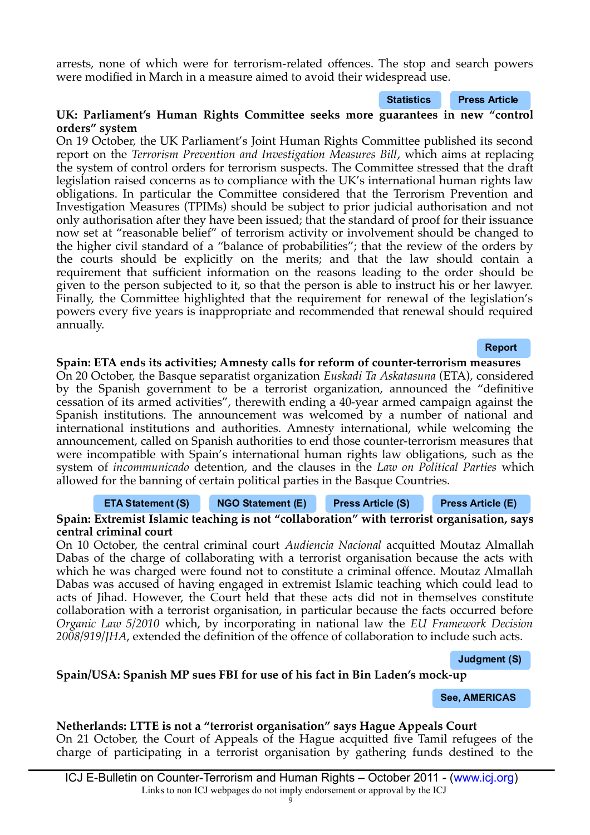arrests, none of which were for terrorism-related offences. The stop and search powers were modifed in March in a measure aimed to avoid their widespread use.

## **[Statistics](http://www.homeoffice.gov.uk/publications/science-research-statistics/research-statistics/counter-terrorism-statistics/hosb1511/) [Press Article](http://www.bbc.co.uk/news/uk-15290176)**

## **UK: Parliament's Human Rights Committee seeks more guarantees in new "control orders" system**

On 19 October, the UK Parliament's Joint Human Rights Committee published its second report on the *Terrorism Prevention and Investigation Measures Bill*, which aims at replacing the system of control orders for terrorism suspects. The Committee stressed that the draft legislation raised concerns as to compliance with the UK's international human rights law obligations. In particular the Committee considered that the Terrorism Prevention and Investigation Measures (TPIMs) should be subject to prior judicial authorisation and not only authorisation after they have been issued; that the standard of proof for their issuance now set at "reasonable belief" of terrorism activity or involvement should be changed to the higher civil standard of a "balance of probabilities"; that the review of the orders by the courts should be explicitly on the merits; and that the law should contain a requirement that sufficient information on the reasons leading to the order should be given to the person subjected to it, so that the person is able to instruct his or her lawyer. Finally, the Committee highlighted that the requirement for renewal of the legislation's powers every fve years is inappropriate and recommended that renewal should required annually.

#### **[Report](http://www.publications.parliament.uk/pa/jt201012/jtselect/jtrights/204/204.pdf)**

## **Spain: ETA ends its activities; Amnesty calls for reform of counter-terrorism measures**

On 20 October, the Basque separatist organization *Euskadi Ta Askatasuna* (ETA), considered by the Spanish government to be a terrorist organization, announced the "defnitive cessation of its armed activities", therewith ending a 40-year armed campaign against the Spanish institutions. The announcement was welcomed by a number of national and international institutions and authorities. Amnesty international, while welcoming the announcement, called on Spanish authorities to end those counter-terrorism measures that were incompatible with Spain's international human rights law obligations, such as the system of *incommunicado* detention, and the clauses in the *Law on Political Parties* which allowed for the banning of certain political parties in the Basque Countries.

**[ETA Statement \(S\)](http://www.elpais.com/elpaismedia/ultimahora/media/201110/20/espana/20111020elpepunac_3_Pes_PDF.pdf) [NGO Statement \(E\)](http://www.amnesty.org/en/news-and-updates/spain-end-eta-violence-presents-opportunity-human-rights-reforms-2011-10-21) [Press Article \(S\)](http://www.elpais.com/articulo/espana/Zapatero/rinde/honor/victimas/ensalza/todos/presidentes/elpepiesp/20111021elpepinac_5/Tes) [Press Article \(E\)](http://www.dw-world.de/dw/article/0,,15476908,00.html?maca=en-rss-en-eu-2092-rdf)**

## **Spain: Extremist Islamic teaching is not "collaboration" with terrorist organisation, says central criminal court**

On 10 October, the central criminal court *Audiencia Nacional* acquitted Moutaz Almallah Dabas of the charge of collaborating with a terrorist organisation because the acts with which he was charged were found not to constitute a criminal offence. Moutaz Almallah Dabas was accused of having engaged in extremist Islamic teaching which could lead to acts of Jihad. However, the Court held that these acts did not in themselves constitute collaboration with a terrorist organisation, in particular because the facts occurred before *Organic Law 5/2010* which, by incorporating in national law the *EU Framework Decision 2008/919/JHA*, extended the defnition of the offence of collaboration to include such acts.

**[Judgment \(S\)](http://www.poderjudicial.es/stfls/AUDIENCIA%20NACIONAL/NOVEDADES/2011-10-18%20MOUTAZ%20ALMALLAH%20DABAS.pdf)**

## **Spain/USA: Spanish MP sues FBI for use of his fact in Bin Laden's mock-up**

**[See, AMERICAS](#page-4-1)**

## **Netherlands: LTTE is not a "terrorist organisation" says Hague Appeals Court**

On 21 October, the Court of Appeals of the Hague acquitted fve Tamil refugees of the charge of participating in a terrorist organisation by gathering funds destined to the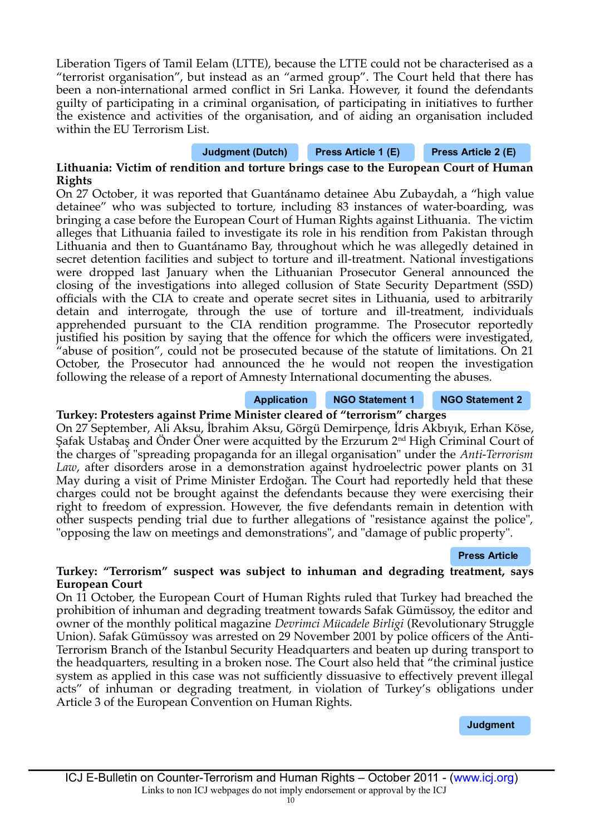Liberation Tigers of Tamil Eelam (LTTE), because the LTTE could not be characterised as a "terrorist organisation", but instead as an "armed group". The Court held that there has been a non-international armed confict in Sri Lanka. However, it found the defendants guilty of participating in a criminal organisation, of participating in initiatives to further the existence and activities of the organisation, and of aiding an organisation included within the EU Terrorism List.

**[Judgment \(Dutch\)](http://zoeken.rechtspraak.nl/detailpage.aspx?ljn=BT8829&u_ljn=BT8829) [Press Article 1 \(E\)](http://old.news.yahoo.com/s/ap/20111021/ap_on_re_eu/eu_netherlands_tamil_tiger_trial) [Press Article 2 \(E\)](http://www.dutchnews.nl/news/archives/2011/10/tamils_jailed_for_criminal_act.php)**

## **Lithuania: Victim of rendition and torture brings case to the European Court of Human Rights**

On 27 October, it was reported that Guantánamo detainee Abu Zubaydah, a "high value detainee" who was subjected to torture, including 83 instances of water-boarding, was bringing a case before the European Court of Human Rights against Lithuania. The victim alleges that Lithuania failed to investigate its role in his rendition from Pakistan through Lithuania and then to Guantánamo Bay, throughout which he was allegedly detained in secret detention facilities and subject to torture and ill-treatment. National investigations were dropped last January when the Lithuanian Prosecutor General announced the closing of the investigations into alleged collusion of State Security Department (SSD) officials with the CIA to create and operate secret sites in Lithuania, used to arbitrarily detain and interrogate, through the use of torture and ill-treatment, individuals apprehended pursuant to the CIA rendition programme. The Prosecutor reportedly justified his position by saying that the offence for which the officers were investigated, "abuse of position", could not be prosecuted because of the statute of limitations. On 21 October, the Prosecutor had announced the he would not reopen the investigation following the release of a report of Amnesty International documenting the abuses.

## **[Application](http://www.interights.org/files/184/2011_10_27%20PRIV%20DRAFT%20AZ%20v%20%20Lithuania%20ECHR%20Application%20Final.pdf) [NGO Statement 1](http://www.amnesty.org/en/news/rendition-victim-takes-case-against-lithuania-european-court-2011-10-27) [NGO Statement 2](http://www.amnesty.org/en/news-and-updates/lithuania-blocking-truth-about-cia-secret-prisons-2011-10-21)**

## **Turkey: Protesters against Prime Minister cleared of "terrorism" charges**

On 27 September, Ali Aksu, İbrahim Aksu, Görgü Demirpençe, İdris Akbıyık, Erhan Köse, Safak Ustabas and Önder Öner were acquitted by the Erzurum 2<sup>nd</sup> High Criminal Court of the charges of "spreading propaganda for an illegal organisation" under the *Anti-Terrorism Law*, after disorders arose in a demonstration against hydroelectric power plants on 31 May during a visit of Prime Minister Erdoğan. The Court had reportedly held that these charges could not be brought against the defendants because they were exercising their right to freedom of expression. However, the five defendants remain in detention with other suspects pending trial due to further allegations of "resistance against the police", "opposing the law on meetings and demonstrations", and "damage of public property".

#### **[Press Article](http://ww.bianet.org/english/freedom-of-expression/132969-partial-acquittals-in-hopa-trial)**

## **Turkey: "Terrorism" suspect was subject to inhuman and degrading treatment, says European Court**

On 11 October, the European Court of Human Rights ruled that Turkey had breached the prohibition of inhuman and degrading treatment towards Safak Gümüssoy, the editor and owner of the monthly political magazine *Devrimci Mücadele Birligi* (Revolutionary Struggle Union). Safak Gümüssoy was arrested on 29 November 2001 by police officers of the Anti-Terrorism Branch of the Istanbul Security Headquarters and beaten up during transport to the headquarters, resulting in a broken nose. The Court also held that "the criminal justice system as applied in this case was not sufficiently dissuasive to effectively prevent illegal acts" of inhuman or degrading treatment, in violation of Turkey's obligations under Article 3 of the European Convention on Human Rights.

**[Judgment](http://cmiskp.echr.coe.int/tkp197/view.asp?item=1&portal=hbkm&action=html&highlight=51143/07&sessionid=81166782&skin=hudoc-en)**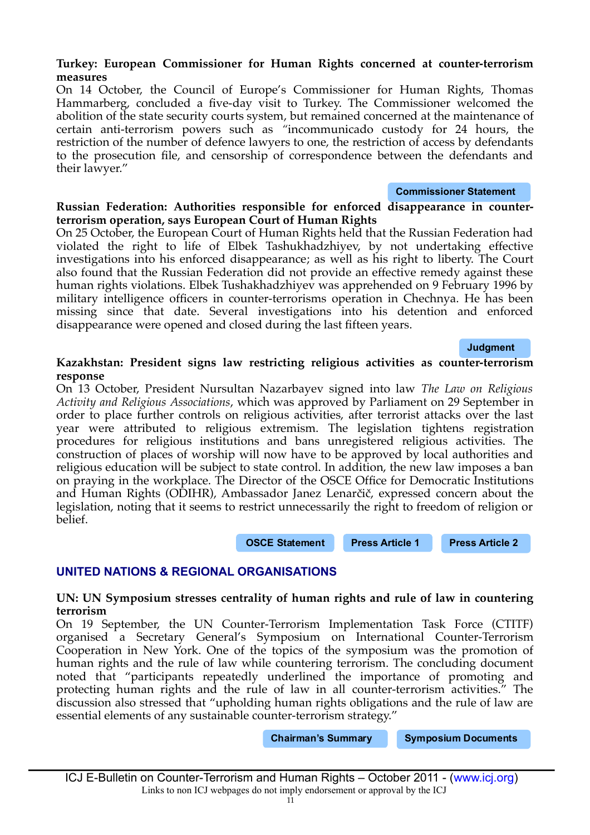## **Turkey: European Commissioner for Human Rights concerned at counter-terrorism measures**

On 14 October, the Council of Europe's Commissioner for Human Rights, Thomas Hammarberg, concluded a five-day visit to Turkey. The Commissioner welcomed the abolition of the state security courts system, but remained concerned at the maintenance of certain anti-terrorism powers such as *"*incommunicado custody for 24 hours, the restriction of the number of defence lawyers to one, the restriction of access by defendants to the prosecution fle, and censorship of correspondence between the defendants and their lawyer."

**[Commissioner Statement](http://www.coe.int/t/commissioner/News/2011/111014TurkeyVisit_en.asp)**

## **Russian Federation: Authorities responsible for enforced disappearance in counterterrorism operation, says European Court of Human Rights**

On 25 October, the European Court of Human Rights held that the Russian Federation had violated the right to life of Elbek Tashukhadzhiyev, by not undertaking effective investigations into his enforced disappearance; as well as his right to liberty. The Court also found that the Russian Federation did not provide an effective remedy against these human rights violations. Elbek Tushakhadzhiyev was apprehended on 9 February 1996 by military intelligence officers in counter-terrorisms operation in Chechnya. He has been missing since that date. Several investigations into his detention and enforced disappearance were opened and closed during the last ffteen years.

#### **[Judgment](http://cmiskp.echr.coe.int/tkp197/view.asp?action=html&documentId=894300&portal=hbkm&source=externalbydocnumber&table=F69A27FD8FB86142BF01C1166DEA398649)**

## **Kazakhstan: President signs law restricting religious activities as counter-terrorism response**

On 13 October, President Nursultan Nazarbayev signed into law *The Law on Religious Activity and Religious Associations*, which was approved by Parliament on 29 September in order to place further controls on religious activities, after terrorist attacks over the last year were attributed to religious extremism. The legislation tightens registration procedures for religious institutions and bans unregistered religious activities. The construction of places of worship will now have to be approved by local authorities and religious education will be subject to state control. In addition, the new law imposes a ban on praying in the workplace. The Director of the OSCE Office for Democratic Institutions and Human Rights (ODIHR), Ambassador Janez Lenarčič, expressed concern about the legislation, noting that it seems to restrict unnecessarily the right to freedom of religion or belief.

**[OSCE Statement](http://www.osce.org/odihr/83191) [Press Article 1](http://www.rferl.org/content/kazakhstan_new_religious_law_islam_extremism/24341450.html) [Press Article 2](http://www.telegraph.co.uk/news/worldnews/asia/kazakhstan/8796464/New-laws-in-Kazakhstan-to-restrict-religious-groups.html)**

## **UNITED NATIONS & REGIONAL ORGANISATIONS**

## **UN: UN Symposium stresses centrality of human rights and rule of law in countering terrorism**

On 19 September, the UN Counter-Terrorism Implementation Task Force (CTITF) organised a Secretary General's Symposium on International Counter-Terrorism Cooperation in New York. One of the topics of the symposium was the promotion of human rights and the rule of law while countering terrorism. The concluding document noted that "participants repeatedly underlined the importance of promoting and protecting human rights and the rule of law in all counter-terrorism activities." The discussion also stressed that "upholding human rights obligations and the rule of law are essential elements of any sustainable counter-terrorism strategy."

**[Chairman's Summary](http://www.un.org/en/terrorism/ctitf/pdfs/chairman_summary_sg_symposium.pdf) [Symposium Documents](http://www.un.org/en/terrorism/ctitf/sg_symposium.shtml)**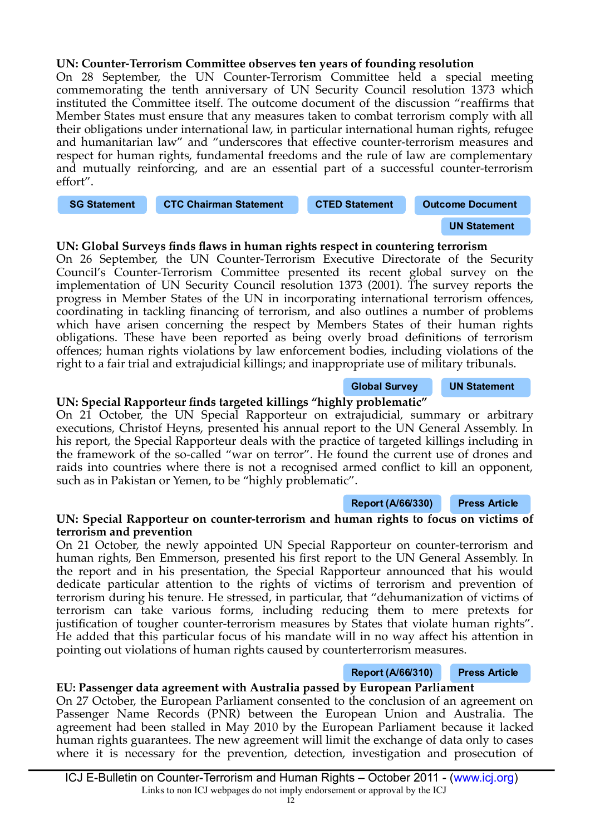## **UN: Counter-Terrorism Committee observes ten years of founding resolution**

On 28 September, the UN Counter-Terrorism Committee held a special meeting commemorating the tenth anniversary of UN Security Council resolution 1373 which instituted the Committee itself. The outcome document of the discussion "reaffrms that Member States must ensure that any measures taken to combat terrorism comply with all their obligations under international law, in particular international human rights, refugee and humanitarian law" and "underscores that effective counter-terrorism measures and respect for human rights, fundamental freedoms and the rule of law are complementary and mutually reinforcing, and are an essential part of a successful counter-terrorism effort".

**[SG Statement](http://www.un.org/apps/sg/sgstats.asp?nid=5576) [CTC Chairman Statement](http://www.un.org/en/sc/ctc/docs/2011/2011-09-28-specialmtg-puri.pdf) [CTED Statement](http://www.un.org/en/sc/ctc/docs/2011/2011-09-28-specialmtg-msmith.pdf) [Outcome Document](http://www.un.org/en/sc/ctc/docs/2011/2011-09-28-specialmtg-outcome.pdf)**

## **UN: Global Surveys fnds faws in human rights respect in countering terrorism**

On 26 September, the UN Counter-Terrorism Executive Directorate of the Security Council's Counter-Terrorism Committee presented its recent global survey on the implementation of UN Security Council resolution 1373 (2001). The survey reports the progress in Member States of the UN in incorporating international terrorism offences, coordinating in tackling fnancing of terrorism, and also outlines a number of problems which have arisen concerning the respect by Members States of their human rights obligations. These have been reported as being overly broad defnitions of terrorism offences; human rights violations by law enforcement bodies, including violations of the right to a fair trial and extrajudicial killings; and inappropriate use of military tribunals.

#### **[Global Survey](http://www.un.org/Docs/journal/asp/ws.asp?m=S/2011/463) [UN Statement](http://www.un.org/en/sc/ctc/news/2011-10-07_gis.html?utm_source=feedburner&utm_medium=feed&utm_campaign=Feed%3A+UNCTC+%28United+Nations+Counter-Terrorism+Committee%29)**

**[UN Statement](http://www.un.org/en/sc/ctc/news/2011-09-28_specialmtg.html?utm_source=feedburner&utm_medium=feed&utm_campaign=Feed%3A+UNCTC+%28United+Nations+Counter-Terrorism+Committee%29)**

## **UN: Special Rapporteur fnds targeted killings "highly problematic"**

On 21 October, the UN Special Rapporteur on extrajudicial, summary or arbitrary executions, Christof Heyns, presented his annual report to the UN General Assembly. In his report, the Special Rapporteur deals with the practice of targeted killings including in the framework of the so-called "war on terror". He found the current use of drones and raids into countries where there is not a recognised armed confict to kill an opponent, such as in Pakistan or Yemen, to be "highly problematic".

## **[Report \(A/66/330\)](http://www.un.org/en/ga/third/66/documentslist.shtml) [Press Article](http://www.un.org/apps/news/story.asp?NewsID=40136&Cr=heyns&Cr1)**

## **UN: Special Rapporteur on counter-terrorism and human rights to focus on victims of terrorism and prevention**

On 21 October, the newly appointed UN Special Rapporteur on counter-terrorism and human rights, Ben Emmerson, presented his first report to the UN General Assembly. In the report and in his presentation, the Special Rapporteur announced that his would dedicate particular attention to the rights of victims of terrorism and prevention of terrorism during his tenure. He stressed, in particular, that "dehumanization of victims of terrorism can take various forms, including reducing them to mere pretexts for justification of tougher counter-terrorism measures by States that violate human rights". He added that this particular focus of his mandate will in no way affect his attention in pointing out violations of human rights caused by counterterrorism measures.

## **[Report \(A/66/310\)](http://www.un.org/en/ga/third/66/documentslist.shtml) [Press Article](http://www.un.org/apps/news/story.asp?NewsID=40153&Cr=terrorism&Cr1)**

## **EU: Passenger data agreement with Australia passed by European Parliament**

On 27 October, the European Parliament consented to the conclusion of an agreement on Passenger Name Records (PNR) between the European Union and Australia. The agreement had been stalled in May 2010 by the European Parliament because it lacked human rights guarantees. The new agreement will limit the exchange of data only to cases where it is necessary for the prevention, detection, investigation and prosecution of